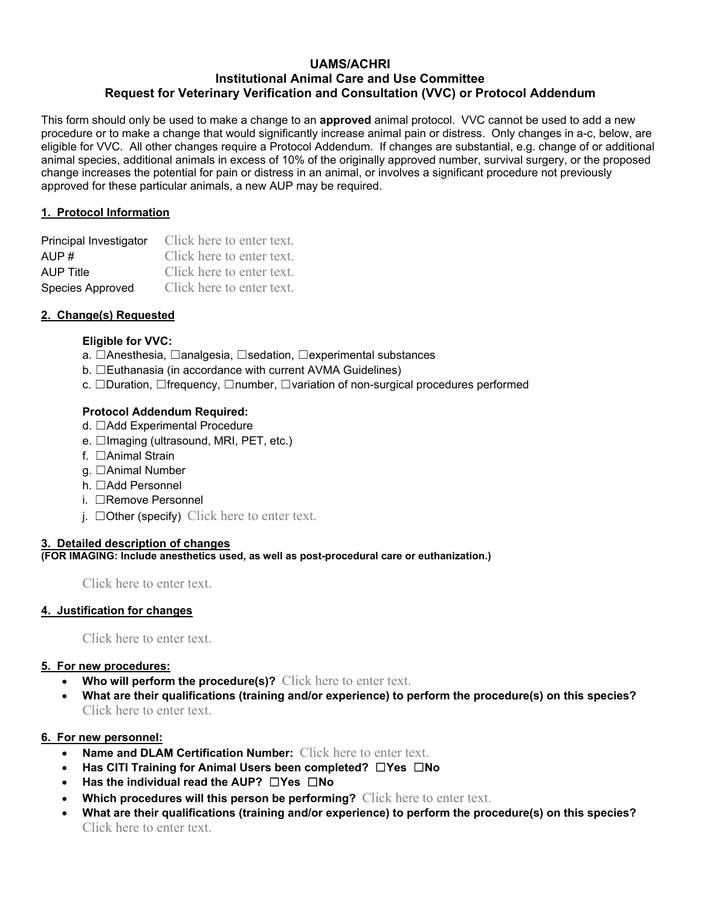# **UAMS/ACHRI Institutional Animal Care and Use Committee Request for Veterinary Verification and Consultation (VVC) or Protocol Addendum**

This form should only be used to make a change to an **approved** animal protocol. VVC cannot be used to add a new procedure or to make a change that would significantly increase animal pain or distress. Only changes in a-c, below, are eligible for VVC. All other changes require a Protocol Addendum. If changes are substantial, e.g. change of or additional animal species, additional animals in excess of 10% of the originally approved number, survival surgery, or the proposed change increases the potential for pain or distress in an animal, or involves a significant procedure not previously approved for these particular animals, a new AUP may be required.

## **1. Protocol Information**

| Principal Investigator | Click here to enter text. |
|------------------------|---------------------------|
| AUP $#$                | Click here to enter text. |
| <b>AUP Title</b>       | Click here to enter text. |
| Species Approved       | Click here to enter text. |

## **2. Change(s) Requested**

#### **Eligible for VVC:**

- a. ☐Anesthesia, ☐analgesia, ☐sedation, ☐experimental substances
- b. ☐Euthanasia (in accordance with current AVMA Guidelines)
- c. ☐Duration, ☐frequency, ☐number, ☐variation of non-surgical procedures performed

## **Protocol Addendum Required:**

- d. ☐Add Experimental Procedure
- e. □Imaging (ultrasound, MRI, PET, etc.)
- f. ☐Animal Strain
- g. ☐Animal Number
- h. ☐Add Personnel
- i. ☐Remove Personnel
- $i.$   $\Box$  Other (specify) Click here to enter text.

#### **3. Detailed description of changes**

**(FOR IMAGING: Include anesthetics used, as well as post-procedural care or euthanization.)** 

Click here to enter text.

#### **4. Justification for changes**

Click here to enter text.

#### **5. For new procedures:**

- **Who will perform the procedure(s)?** Click here to enter text.
- **What are their qualifications (training and/or experience) to perform the procedure(s) on this species?** Click here to enter text.

## **6. For new personnel:**

- **Name and DLAM Certification Number:** Click here to enter text.
- **Has CITI Training for Animal Users been completed?** ☐**Yes** ☐**No**
- **Has the individual read the AUP?** ☐**Yes** ☐**No**
- **Which procedures will this person be performing?** Click here to enter text.
- **What are their qualifications (training and/or experience) to perform the procedure(s) on this species?**  Click here to enter text.